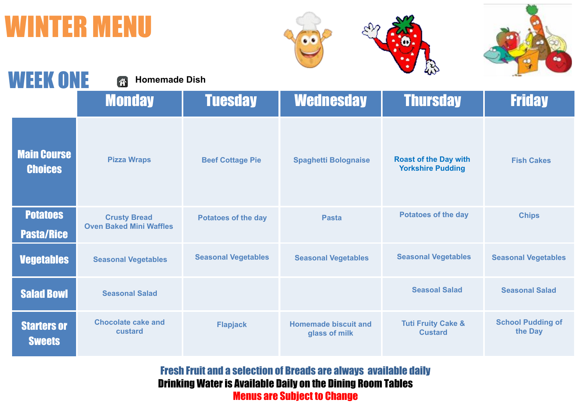## **TER MENU**





| <b>WEEK ONE</b>                      | <b>Homemade Dish</b>                                  |                            |                                              | <b>ANY</b>                                               |                                     |
|--------------------------------------|-------------------------------------------------------|----------------------------|----------------------------------------------|----------------------------------------------------------|-------------------------------------|
|                                      | <b>Monday</b>                                         | <b>Tuesday</b>             | <b>Wednesday</b>                             | <b>Thursday</b>                                          | <b>Friday</b>                       |
| <b>Main Course</b><br><b>Choices</b> | <b>Pizza Wraps</b>                                    | <b>Beef Cottage Pie</b>    | <b>Spaghetti Bolognaise</b>                  | <b>Roast of the Day with</b><br><b>Yorkshire Pudding</b> | <b>Fish Cakes</b>                   |
| <b>Potatoes</b><br><b>Pasta/Rice</b> | <b>Crusty Bread</b><br><b>Oven Baked Mini Waffles</b> | <b>Potatoes of the day</b> | <b>Pasta</b>                                 | <b>Potatoes of the day</b>                               | <b>Chips</b>                        |
| <b>Vegetables</b>                    | <b>Seasonal Vegetables</b>                            | <b>Seasonal Vegetables</b> | <b>Seasonal Vegetables</b>                   | <b>Seasonal Vegetables</b>                               | <b>Seasonal Vegetables</b>          |
| <b>Salad Bowl</b>                    | <b>Seasonal Salad</b>                                 |                            |                                              | <b>Seasoal Salad</b>                                     | <b>Seasonal Salad</b>               |
| <b>Starters or</b><br><b>Sweets</b>  | <b>Chocolate cake and</b><br>custard                  | <b>Flapjack</b>            | <b>Homemade biscuit and</b><br>glass of milk | <b>Tuti Fruity Cake &amp;</b><br><b>Custard</b>          | <b>School Pudding of</b><br>the Day |

Fresh Fruit and a selection of Breads are always available daily Drinking Water is Available Daily on the Dining Room Tables Menus are Subject to Change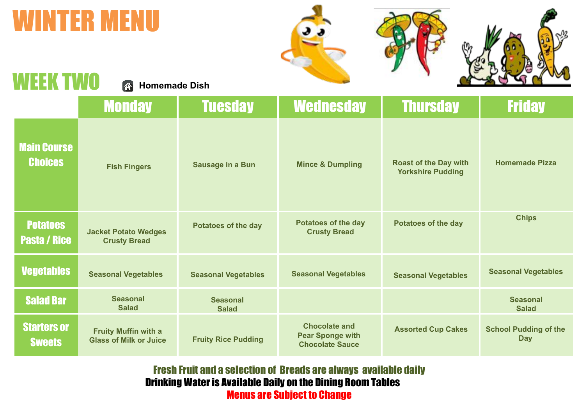## WINTER MENU







## EK TWO

**Homemade Dish**

|                                        | <b>Monday</b>                                                | <b>Tuesday</b>                  | <b>Wednesday</b>                                                          | <b>Thursday</b>                                          | <b>Friday</b>                              |
|----------------------------------------|--------------------------------------------------------------|---------------------------------|---------------------------------------------------------------------------|----------------------------------------------------------|--------------------------------------------|
| <b>Main Course</b><br><b>Choices</b>   | <b>Fish Fingers</b>                                          | Sausage in a Bun                | <b>Mince &amp; Dumpling</b>                                               | <b>Roast of the Day with</b><br><b>Yorkshire Pudding</b> | <b>Homemade Pizza</b>                      |
| <b>Potatoes</b><br><b>Pasta / Rice</b> | <b>Jacket Potato Wedges</b><br><b>Crusty Bread</b>           | <b>Potatoes of the day</b>      | <b>Potatoes of the day</b><br><b>Crusty Bread</b>                         | <b>Potatoes of the day</b>                               | <b>Chips</b>                               |
| <b>Vegetables</b>                      | <b>Seasonal Vegetables</b>                                   | <b>Seasonal Vegetables</b>      | <b>Seasonal Vegetables</b>                                                | <b>Seasonal Vegetables</b>                               | <b>Seasonal Vegetables</b>                 |
| <b>Salad Bar</b>                       | <b>Seasonal</b><br><b>Salad</b>                              | <b>Seasonal</b><br><b>Salad</b> |                                                                           |                                                          | <b>Seasonal</b><br><b>Salad</b>            |
| <b>Starters or</b><br><b>Sweets</b>    | <b>Fruity Muffin with a</b><br><b>Glass of Milk or Juice</b> | <b>Fruity Rice Pudding</b>      | <b>Chocolate and</b><br><b>Pear Sponge with</b><br><b>Chocolate Sauce</b> | <b>Assorted Cup Cakes</b>                                | <b>School Pudding of the</b><br><b>Day</b> |

Fresh Fruit and a selection of Breads are always available daily Drinking Water is Available Daily on the Dining Room Tables Menus are Subject to Change